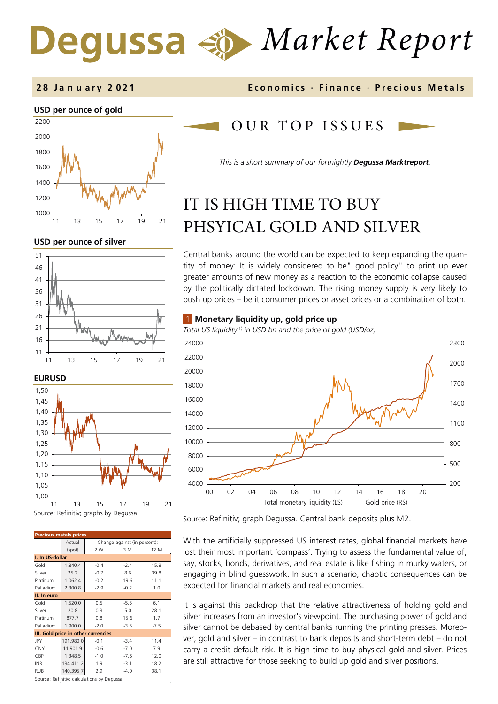# *Market Report*



#### **USD per ounce of silver**





| <b>Precious metals prices</b>       |           |                              |        |        |  |  |  |
|-------------------------------------|-----------|------------------------------|--------|--------|--|--|--|
|                                     | Actual    | Change against (in percent): |        |        |  |  |  |
|                                     | (spot)    | 2 W                          | 3 M    | 12 M   |  |  |  |
| I. In US-dollar                     |           |                              |        |        |  |  |  |
| Gold                                | 1.840.4   | $-0.4$                       | $-2.4$ | 15.8   |  |  |  |
| Silver                              | 25.2      | $-0.7$                       | 8.6    | 39.8   |  |  |  |
| Platinum                            | 1.062.4   | $-0.2$                       | 19.6   | 11.1   |  |  |  |
| Palladium                           | 2.300.8   | $-2.9$                       | $-0.2$ | 1.0    |  |  |  |
| II. In euro                         |           |                              |        |        |  |  |  |
| Gold                                | 1.520.0   | 0.5                          | $-5.5$ | 6.1    |  |  |  |
| Silver                              | 20.8      | 0.3                          | 5.0    | 28.1   |  |  |  |
| Platinum                            | 877.7     | 0.8                          | 15.6   | 1.7    |  |  |  |
| Palladium                           | 1.900.0   | $-2.0$                       | $-3.5$ | $-7.5$ |  |  |  |
| III. Gold price in other currencies |           |                              |        |        |  |  |  |
| JPY                                 | 191.980.0 | $-0.1$                       | $-3.4$ | 11.4   |  |  |  |
| CNY                                 | 11.901.9  | $-0.6$                       | $-7.0$ | 7.9    |  |  |  |
| GBP                                 | 1.348.5   | $-1.0$                       | $-7.6$ | 12.0   |  |  |  |
| <b>INR</b>                          | 134.411.2 | 1.9                          | $-3.1$ | 18.2   |  |  |  |
| <b>RUB</b>                          | 140.395.7 | 2.9                          | $-4.0$ | 38.1   |  |  |  |

Source: Refinitiv; calculations by Degussa.

#### **2 8 J a n u a r y 2 0 2 1 Economics · Finance · Precious M etals**

## OUR TOP ISSUE S

*This is a short summary of our fortnightly Degussa Marktreport.* 

## IT IS HIGH TIME TO BUY PHSYICAL GOLD AND SILVER

Central banks around the world can be expected to keep expanding the quantity of money: It is widely considered to be" good policy" to print up ever greater amounts of new money as a reaction to the economic collapse caused by the politically dictated lockdown. The rising money supply is very likely to push up prices – be it consumer prices or asset prices or a combination of both.

#### 1 **Monetary liquidity up, gold price up**

*Total US liquidity*(1) *in USD bn and the price of gold (USD/oz)*



Source: Refinitiv; graph Degussa. Central bank deposits plus M2.

With the artificially suppressed US interest rates, global financial markets have lost their most important 'compass'. Trying to assess the fundamental value of, say, stocks, bonds, derivatives, and real estate is like fishing in murky waters, or engaging in blind guesswork. In such a scenario, chaotic consequences can be expected for financial markets and real economies.

It is against this backdrop that the relative attractiveness of holding gold and silver increases from an investor's viewpoint. The purchasing power of gold and silver cannot be debased by central banks running the printing presses. Moreover, gold and silver – in contrast to bank deposits and short-term debt – do not carry a credit default risk. It is high time to buy physical gold and silver. Prices are still attractive for those seeking to build up gold and silver positions.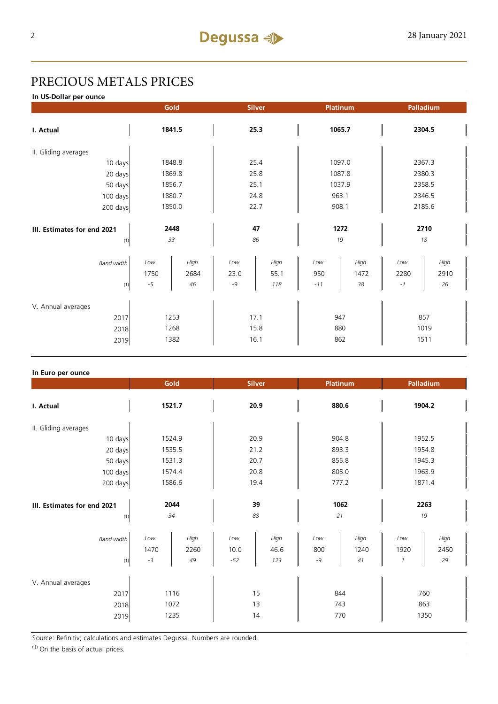## PRECIOUS METALS PRICES

**In US-Dollar per ounce**

|                                            |                      | Gold<br>Platinum<br><b>Silver</b> |                      |                     | Palladium           |                    |                     |                    |  |
|--------------------------------------------|----------------------|-----------------------------------|----------------------|---------------------|---------------------|--------------------|---------------------|--------------------|--|
| I. Actual                                  | 1841.5               |                                   | 25.3                 |                     | 1065.7              |                    | 2304.5              |                    |  |
| II. Gliding averages                       |                      |                                   |                      |                     |                     |                    |                     |                    |  |
| 10 days                                    | 1848.8               |                                   | 25.4                 |                     | 1097.0              |                    | 2367.3              |                    |  |
| 20 days                                    |                      | 1869.8                            |                      | 25.8                |                     | 1087.8             |                     | 2380.3             |  |
| 50 days                                    |                      | 1856.7                            |                      | 25.1                |                     | 1037.9             |                     | 2358.5             |  |
| 100 days                                   |                      | 1880.7                            |                      | 24.8                |                     | 963.1              |                     | 2346.5             |  |
| 200 days                                   | 1850.0               |                                   | 22.7                 |                     | 908.1               |                    | 2185.6              |                    |  |
|                                            |                      |                                   |                      |                     |                     |                    |                     |                    |  |
| III. Estimates for end 2021                | 2448                 |                                   | 47                   |                     | 1272                |                    | 2710                |                    |  |
| (1)                                        | 33                   |                                   | 86                   |                     | 19                  |                    | 18                  |                    |  |
| <b>Band width</b><br>(1)                   | Low<br>1750<br>$-5$  | High<br>2684<br>46                | Low<br>23.0<br>$-9$  | High<br>55.1<br>118 | Low<br>950<br>$-11$ | High<br>1472<br>38 | Low<br>2280<br>$-1$ | High<br>2910<br>26 |  |
| V. Annual averages<br>2017<br>2018<br>2019 | 1253<br>1268<br>1382 |                                   | 17.1<br>15.8<br>16.1 |                     | 947<br>880<br>862   |                    | 857<br>1019<br>1511 |                    |  |

#### **In Euro per ounce**

|                                            |                      | Gold<br><b>Silver</b><br><b>Platinum</b> |                      |                     | Palladium          |                    |                                           |                    |
|--------------------------------------------|----------------------|------------------------------------------|----------------------|---------------------|--------------------|--------------------|-------------------------------------------|--------------------|
| I. Actual                                  | 1521.7               |                                          | 20.9                 |                     | 880.6              |                    | 1904.2                                    |                    |
| II. Gliding averages                       |                      |                                          |                      |                     |                    |                    |                                           |                    |
| 10 days                                    | 1524.9               |                                          | 20.9                 |                     | 904.8              |                    | 1952.5                                    |                    |
| 20 days                                    | 1535.5               |                                          | 21.2                 |                     | 893.3              |                    | 1954.8                                    |                    |
| 50 days                                    | 1531.3               |                                          | 20.7                 |                     | 855.8              |                    | 1945.3                                    |                    |
| 100 days                                   | 1574.4               |                                          | 20.8                 |                     | 805.0              |                    | 1963.9                                    |                    |
| 200 days                                   | 1586.6               |                                          | 19.4                 |                     | 777.2              |                    | 1871.4                                    |                    |
| III. Estimates for end 2021<br>(1)         | 2044<br>34           |                                          | 39<br>88             |                     | 1062<br>21         |                    | 2263<br>19                                |                    |
| <b>Band width</b><br>(1)                   | Low<br>1470<br>$-3$  | High<br>2260<br>49                       | Low<br>10.0<br>$-52$ | High<br>46.6<br>123 | Low<br>800<br>$-9$ | High<br>1240<br>41 | Low<br>1920<br>$\boldsymbol{\mathcal{I}}$ | High<br>2450<br>29 |
| V. Annual averages<br>2017<br>2018<br>2019 | 1116<br>1072<br>1235 |                                          |                      | 15<br>13<br>14      | 844<br>743         | 770                | 863                                       | 760<br>1350        |

Source: Refinitiv; calculations and estimates Degussa. Numbers are rounded.

 $(1)$  On the basis of actual prices.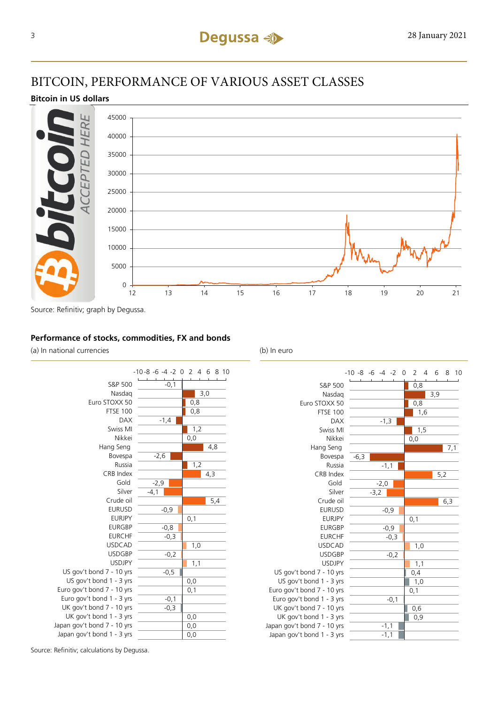## BITCOIN, PERFORMANCE OF VARIOUS ASSET CLASSES

### **Bitcoin in US dollars**



Source: Refinitiv; graph by Degussa.

#### **Performance of stocks, commodities, FX and bonds**

(a) In national currencies (b) In euro



S&P 500 Nasdaq Euro STOXX 50 FTSE 100 DAX Swiss MI Nikkei Hang Seng Bovespa Russia CRB Index Gold Silver Crude oil EURUSD EURJPY EURGBP EURCHF USDCAD USDGBP USDJPY US gov't bond 7 - 10 yrs US gov't bond 1 - 3 yrs Euro gov't bond 7 - 10 yrs Euro gov't bond 1 - 3 yrs UK gov't bond 7 - 10 yrs UK gov't bond 1 - 3 yrs Japan gov't bond 7 - 10 yrs Japan gov't bond 1 - 3 yrs



Source: Refinitiv; calculations by Degussa.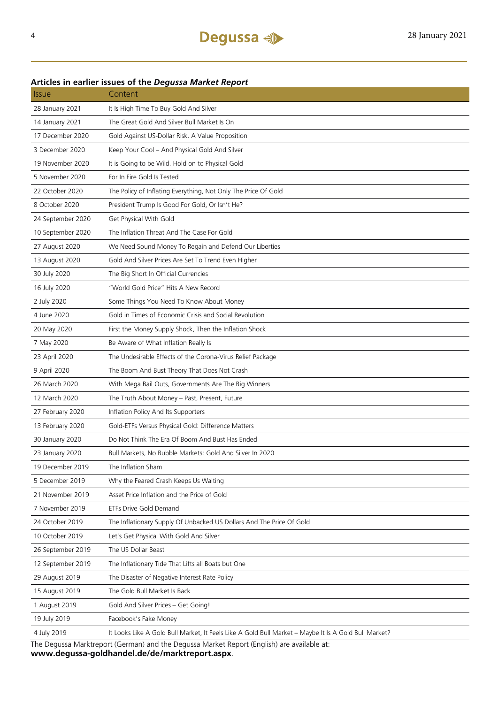## 28 January 2021 It Is High Time To Buy Gold And Silver 14 January 2021 The Great Gold And Silver Bull Market Is On 17 December 2020 Gold Against US-Dollar Risk. A Value Proposition 3 December 2020 Keep Your Cool – And Physical Gold And Silver 19 November 2020 It is Going to be Wild. Hold on to Physical Gold 5 November 2020 For In Fire Gold Is Tested 22 October 2020 The Policy of Inflating Everything, Not Only The Price Of Gold 8 October 2020 President Trump Is Good For Gold, Or Isn't He? 24 September 2020 Get Physical With Gold 10 September 2020 The Inflation Threat And The Case For Gold 27 August 2020 We Need Sound Money To Regain and Defend Our Liberties 13 August 2020 Gold And Silver Prices Are Set To Trend Even Higher 30 July 2020 The Big Short In Official Currencies 16 July 2020 "World Gold Price" Hits A New Record 2 July 2020 Some Things You Need To Know About Money 4 June 2020 Gold in Times of Economic Crisis and Social Revolution 20 May 2020 First the Money Supply Shock, Then the Inflation Shock 7 May 2020 Be Aware of What Inflation Really Is 23 April 2020 The Undesirable Effects of the Corona-Virus Relief Package 9 April 2020 The Boom And Bust Theory That Does Not Crash 26 March 2020 With Mega Bail Outs, Governments Are The Big Winners 12 March 2020 The Truth About Money – Past, Present, Future 27 February 2020 Inflation Policy And Its Supporters 13 February 2020 Gold-ETFs Versus Physical Gold: Difference Matters 30 January 2020 Do Not Think The Era Of Boom And Bust Has Ended 23 January 2020 Bull Markets, No Bubble Markets: Gold And Silver In 2020 19 December 2019 The Inflation Sham 5 December 2019 Why the Feared Crash Keeps Us Waiting 21 November 2019 Asset Price Inflation and the Price of Gold 7 November 2019 ETFs Drive Gold Demand 24 October 2019 The Inflationary Supply Of Unbacked US Dollars And The Price Of Gold 10 October 2019 Let's Get Physical With Gold And Silver 26 September 2019 The US Dollar Beast 12 September 2019 The Inflationary Tide That Lifts all Boats but One 29 August 2019 The Disaster of Negative Interest Rate Policy

#### **Articles in earlier issues of the** *Degussa Market Report*

Issue Content

The Degussa Marktreport (German) and the Degussa Market Report (English) are available at:

4 July 2019 It Looks Like A Gold Bull Market, It Feels Like A Gold Bull Market – Maybe It Is A Gold Bull Market?

**www.degussa-goldhandel.de/de/marktreport.aspx**.

15 August 2019 The Gold Bull Market Is Back

19 July 2019 Facebook's Fake Money

1 August 2019 Gold And Silver Prices – Get Going!